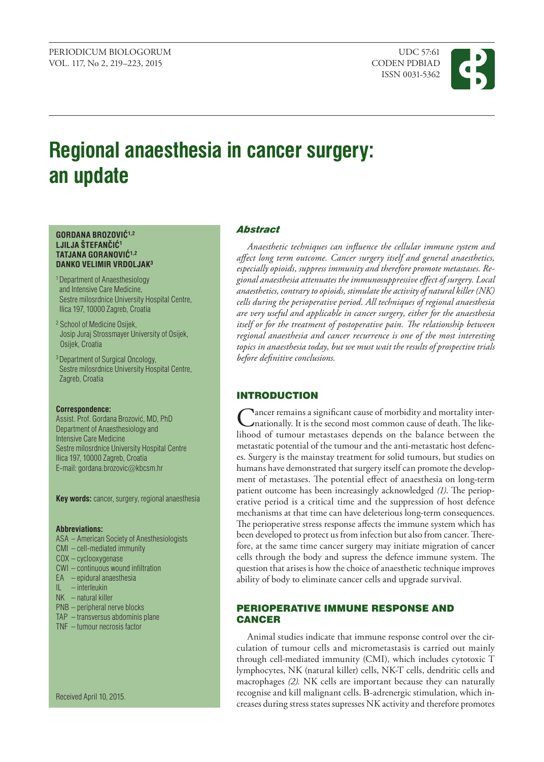ISSN 0031-5362



# **Regional anaesthesia in cancer surgery: an update**

#### **GORDANA BROZOVIĆ1,2 LJILJA ŠTEFANČIĆ<sup>1</sup> TATJANA GORANOVIĆ1,2 DANKO VELIMIR VRDOLJAK3**

- 1 Department of Anaesthesiology and Intensive Care Medicine, Sestre milosrdnice University Hospital Centre, Ilica 197, 10000 Zagreb, Croatia
- <sup>2</sup> School of Medicine Osijek, Josip Juraj Strossmayer University of Osijek, Osijek, Croatia
- 3 Department of Surgical Oncology, Sestre milosrdnice University Hospital Centre, Zagreb, Croatia

#### **Correspondence:**

Assist. Prof. Gordana Brozović, MD, PhD Department of Anaesthesiology and Intensive Care Medicine Sestre milosrdnice University Hospital Centre Ilica 197, 10000 Zagreb, Croatia E-mail: gordana.brozovic@kbcsm.hr

**Key words:** cancer, surgery, regional anaesthesia

#### **Abbreviations:**

- ASA American Society of Anesthesiologists
- CMI cell-mediated immunity
- COX cyclooxygenase
- CWI continuous wound infiltration
- EA epidural anaesthesia
- IL interleukin
- NK natural killer
- PNB peripheral nerve blocks
- TAP transversus abdominis plane
- TNF tumour necrosis factor

Received April 10, 2015.

## *Abstract*

*Anaesthetic techniques can influence the cellular immune system and affect long term outcome. Cancer surgery itself and general anaesthetics, especially opioids, suppress immunity and therefore promote metastases. Regional anaesthesia attenuates the immunosuppressive effect of surgery. Local anaesthetics, contrary to opioids, stimulate the activity of natural killer (NK) cells during the perioperative period. All techniques of regional anaesthesia are very useful and applicable in cancer surgery, either for the anaesthesia*  itself or for the treatment of postoperative pain. The relationship between *regional anaesthesia and cancer recurrence is one of the most interesting topics in anaesthesia today, but we must wait the results of prospective trials before definitive conclusions.* 

### INTRODUCTION

Nancer remains a significant cause of morbidity and mortality internationally. It is the second most common cause of death. The likelihood of tumour metastases depends on the balance between the metastatic potential of the tumour and the anti-metastatic host defences. Surgery is the mainstay treatment for solid tumours, but studies on humans have demonstrated that surgery itself can promote the development of metastases. The potential effect of anaesthesia on long-term patient outcome has been increasingly acknowledged *(1)*. The perioperative period is a critical time and the suppression of host defence mechanisms at that time can have deleterious long-term consequences. The perioperative stress response affects the immune system which has been developed to protect us from infection but also from cancer. Therefore, at the same time cancer surgery may initiate migration of cancer cells through the body and supress the defence immune system. The question that arises is how the choice of anaesthetic technique improves ability of body to eliminate cancer cells and upgrade survival.

## PERIOPERATIVE IMMUNE RESPONSE AND **CANCER**

Animal studies indicate that immune response control over the circulation of tumour cells and micrometastasis is carried out mainly through cell-mediated immunity (CMI), which includes cytotoxic T lymphocytes, NK (natural killer) cells, NK-T cells, dendritic cells and macrophages *(2).* NK cells are important because they can naturally recognise and kill malignant cells. B-adrenergic stimulation, which increases during stress states supresses NK activity and therefore promotes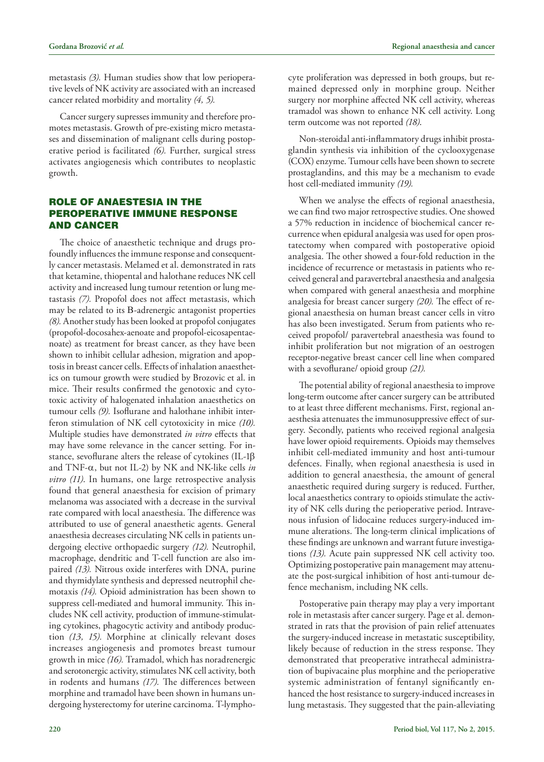metastasis *(3).* Human studies show that low perioperative levels of NK activity are associated with an increased cancer related morbidity and mortality *(4, 5).*

Cancer surgery supresses immunity and therefore promotes metastasis. Growth of pre-existing micro metastases and dissemination of malignant cells during postoperative period is facilitated *(6).* Further, surgical stress activates angiogenesis which contributes to neoplastic growth.

## ROLE OF ANAESTESIA IN THE PEROPERATIVE IMMUNE RESPONSE AND CANCER

The choice of anaesthetic technique and drugs profoundly influences the immune response and consequently cancer metastasis. Melamed et al. demonstrated in rats that ketamine, thiopental and halothane reduces NK cell activity and increased lung tumour retention or lung metastasis *(7).* Propofol does not affect metastasis, which may be related to its B-adrenergic antagonist properties *(8).* Another study has been looked at propofol conjugates (propofol-docosahex-aenoate and propofol-eicosapentaenoate) as treatment for breast cancer, as they have been shown to inhibit cellular adhesion, migration and apoptosis in breast cancer cells. Effects of inhalation anaesthetics on tumour growth were studied by Brozovic et al. in mice. Their results confirmed the genotoxic and cytotoxic activity of halogenated inhalation anaesthetics on tumour cells *(9).* Isoflurane and halothane inhibit interferon stimulation of NK cell cytotoxicity in mice *(10).* Multiple studies have demonstrated *in vitro* effects that may have some relevance in the cancer setting. For instance, sevoflurane alters the release of cytokines (IL-1b and TNF-a, but not IL-2) by NK and NK-like cells *in vitro (11)*. In humans, one large retrospective analysis found that general anaesthesia for excision of primary melanoma was associated with a decrease in the survival rate compared with local anaesthesia. The difference was attributed to use of general anaesthetic agents. General anaesthesia decreases circulating NK cells in patients undergoing elective orthopaedic surgery *(12).* Neutrophil, macrophage, dendritic and T-cell function are also impaired *(13).* Nitrous oxide interferes with DNA, purine and thymidylate synthesis and depressed neutrophil chemotaxis *(14).* Opioid administration has been shown to suppress cell-mediated and humoral immunity. This includes NK cell activity, production of immune-stimulating cytokines, phagocytic activity and antibody production *(13, 15).* Morphine at clinically relevant doses increases angiogenesis and promotes breast tumour growth in mice *(16).* Tramadol, which has noradrenergic and serotonergic activity, stimulates NK cell activity, both in rodents and humans *(17).* The differences between morphine and tramadol have been shown in humans undergoing hysterectomy for uterine carcinoma. T-lymphocyte proliferation was depressed in both groups, but remained depressed only in morphine group. Neither surgery nor morphine affected NK cell activity, whereas tramadol was shown to enhance NK cell activity. Long term outcome was not reported *(18)*.

Non-steroidal anti-inflammatory drugs inhibit prostaglandin synthesis via inhibition of the cyclooxygenase (COX) enzyme. Tumour cells have been shown to secrete prostaglandins, and this may be a mechanism to evade host cell-mediated immunity *(19).*

When we analyse the effects of regional anaesthesia, we can find two major retrospective studies. One showed a 57% reduction in incidence of biochemical cancer recurrence when epidural analgesia was used for open prostatectomy when compared with postoperative opioid analgesia. The other showed a four-fold reduction in the incidence of recurrence or metastasis in patients who received general and paravertebral anaesthesia and analgesia when compared with general anaesthesia and morphine analgesia for breast cancer surgery *(20).* The effect of regional anaesthesia on human breast cancer cells in vitro has also been investigated. Serum from patients who received propofol/ paravertebral anaesthesia was found to inhibit proliferation but not migration of an oestrogen receptor-negative breast cancer cell line when compared with a sevoflurane/ opioid group *(21).*

The potential ability of regional anaesthesia to improve long-term outcome after cancer surgery can be attributed to at least three different mechanisms. First, regional anaesthesia attenuates the immunosuppressive effect of surgery. Secondly, patients who received regional analgesia have lower opioid requirements. Opioids may themselves inhibit cell-mediated immunity and host anti-tumour defences. Finally, when regional anaesthesia is used in addition to general anaesthesia, the amount of general anaesthetic required during surgery is reduced. Further, local anaesthetics contrary to opioids stimulate the activity of NK cells during the perioperative period. Intravenous infusion of lidocaine reduces surgery-induced immune alterations. The long-term clinical implications of these findings are unknown and warrant future investigations *(13).* Acute pain suppressed NK cell activity too. Optimizing postoperative pain management may attenuate the post-surgical inhibition of host anti-tumour defence mechanism, including NK cells.

Postoperative pain therapy may play a very important role in metastasis after cancer surgery. Page et al. demonstrated in rats that the provision of pain relief attenuates the surgery-induced increase in metastatic susceptibility, likely because of reduction in the stress response. They demonstrated that preoperative intrathecal administration of bupivacaine plus morphine and the perioperative systemic administration of fentanyl significantly enhanced the host resistance to surgery-induced increases in lung metastasis. They suggested that the pain-alleviating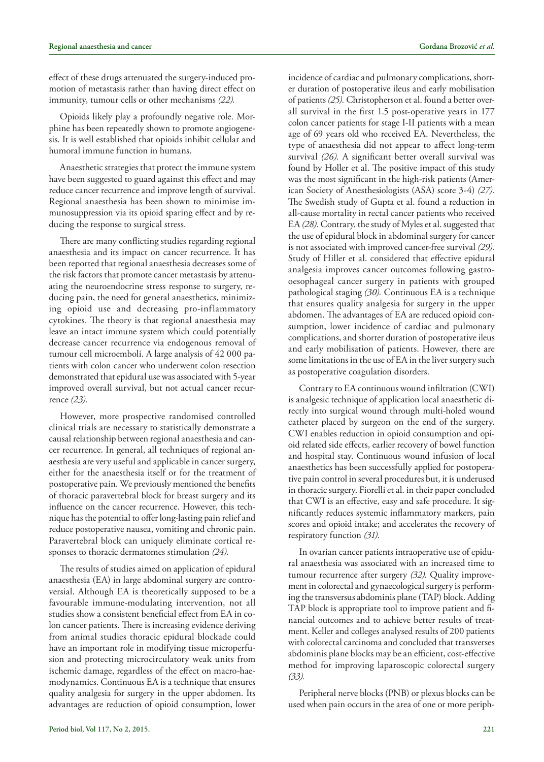effect of these drugs attenuated the surgery-induced promotion of metastasis rather than having direct effect on immunity, tumour cells or other mechanisms *(22).*

Opioids likely play a profoundly negative role. Morphine has been repeatedly shown to promote angiogenesis. It is well established that opioids inhibit cellular and humoral immune function in humans.

Anaesthetic strategies that protect the immune system have been suggested to guard against this effect and may reduce cancer recurrence and improve length of survival. Regional anaesthesia has been shown to minimise immunosuppression via its opioid sparing effect and by reducing the response to surgical stress.

There are many conflicting studies regarding regional anaesthesia and its impact on cancer recurrence. It has been reported that regional anaesthesia decreases some of the risk factors that promote cancer metastasis by attenuating the neuroendocrine stress response to surgery, reducing pain, the need for general anaesthetics, minimizing opioid use and decreasing pro-inflammatory cytokines. The theory is that regional anaesthesia may leave an intact immune system which could potentially decrease cancer recurrence via endogenous removal of tumour cell microemboli. A large analysis of 42 000 patients with colon cancer who underwent colon resection demonstrated that epidural use was associated with 5-year improved overall survival, but not actual cancer recurrence *(23).*

However, more prospective randomised controlled clinical trials are necessary to statistically demonstrate a causal relationship between regional anaesthesia and cancer recurrence. In general, all techniques of regional anaesthesia are very useful and applicable in cancer surgery, either for the anaesthesia itself or for the treatment of postoperative pain. We previously mentioned the benefits of thoracic paravertebral block for breast surgery and its influence on the cancer recurrence. However, this technique has the potential to offer long-lasting pain relief and reduce postoperative nausea, vomiting and chronic pain. Paravertebral block can uniquely eliminate cortical responses to thoracic dermatomes stimulation *(24).*

The results of studies aimed on application of epidural anaesthesia (EA) in large abdominal surgery are controversial. Although EA is theoretically supposed to be a favourable immune-modulating intervention, not all studies show a consistent beneficial effect from EA in colon cancer patients. There is increasing evidence deriving from animal studies thoracic epidural blockade could have an important role in modifying tissue microperfusion and protecting microcirculatory weak units from ischemic damage, regardless of the effect on macro-haemodynamics. Continuous EA is a technique that ensures quality analgesia for surgery in the upper abdomen. Its advantages are reduction of opioid consumption, lower

incidence of cardiac and pulmonary complications, shorter duration of postoperative ileus and early mobilisation of patients *(25).* Christopherson et al. found a better overall survival in the first 1.5 post-operative years in 177 colon cancer patients for stage I-II patients with a mean age of 69 years old who received EA. Nevertheless, the type of anaesthesia did not appear to affect long-term survival *(26).* A significant better overall survival was found by Holler et al. The positive impact of this study was the most significant in the high-risk patients (American Society of Anesthesiologists (ASA) score 3-4) *(27).*  The Swedish study of Gupta et al. found a reduction in all-cause mortality in rectal cancer patients who received EA *(28).* Contrary, the study of Myles et al. suggested that the use of epidural block in abdominal surgery for cancer is not associated with improved cancer-free survival *(29).* Study of Hiller et al. considered that effective epidural analgesia improves cancer outcomes following gastrooesophageal cancer surgery in patients with grouped pathological staging *(30).* Continuous EA is a technique that ensures quality analgesia for surgery in the upper abdomen. The advantages of EA are reduced opioid consumption, lower incidence of cardiac and pulmonary complications, and shorter duration of postoperative ileus and early mobilisation of patients. However, there are some limitations in the use of EA in the liver surgery such as postoperative coagulation disorders.

Contrary to EA continuous wound infiltration (CWI) is analgesic technique of application local anaesthetic directly into surgical wound through multi-holed wound catheter placed by surgeon on the end of the surgery. CWI enables reduction in opioid consumption and opioid related side effects, earlier recovery of bowel function and hospital stay. Continuous wound infusion of local anaesthetics has been successfully applied for postoperative pain control in several procedures but, it is underused in thoracic surgery. Fiorelli et al. in their paper concluded that CWI is an effective, easy and safe procedure. It significantly reduces systemic inflammatory markers, pain scores and opioid intake; and accelerates the recovery of respiratory function *(31).*

In ovarian cancer patients intraoperative use of epidural anaesthesia was associated with an increased time to tumour recurrence after surgery *(32).* Quality improvement in colorectal and gynaecological surgery is performing the transversus abdominis plane (TAP) block. Adding TAP block is appropriate tool to improve patient and financial outcomes and to achieve better results of treatment. Keller and colleges analysed results of 200 patients with colorectal carcinoma and concluded that transverses abdominis plane blocks may be an efficient, cost-effective method for improving laparoscopic colorectal surgery *(33).* 

Peripheral nerve blocks (PNB) or plexus blocks can be used when pain occurs in the area of one or more periph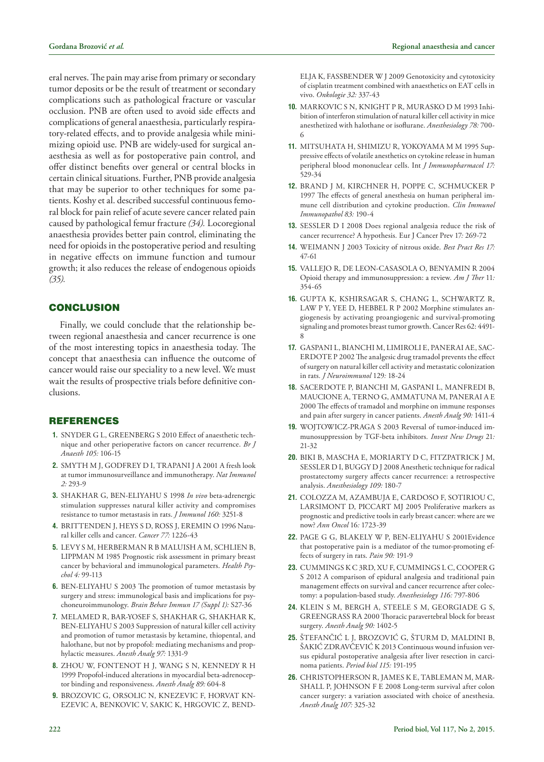eral nerves. The pain may arise from primary or secondary tumor deposits or be the result of treatment or secondary complications such as pathological fracture or vascular occlusion. PNB are often used to avoid side effects and complications of general anaesthesia, particularly respiratory-related effects, and to provide analgesia while minimizing opioid use. PNB are widely-used for surgical anaesthesia as well as for postoperative pain control, and offer distinct benefits over general or central blocks in certain clinical situations. Further, PNB provide analgesia that may be superior to other techniques for some patients. Koshy et al. described successful continuous femoral block for pain relief of acute severe cancer related pain caused by pathological femur fracture *(34).* Locoregional anaesthesia provides better pain control, eliminating the need for opioids in the postoperative period and resulting in negative effects on immune function and tumour growth; it also reduces the release of endogenous opioids *(35).*

## **CONCLUSION**

Finally, we could conclude that the relationship between regional anaesthesia and cancer recurrence is one of the most interesting topics in anaesthesia today. The concept that anaesthesia can influence the outcome of cancer would raise our speciality to a new level. We must wait the results of prospective trials before definitive conclusions.

## REFERENCES

- **1.** SNYDER G L, GREENBERG S 2010 Effect of anaesthetic technique and other perioperative factors on cancer recurrence. *[Br J](http://www.ncbi.nlm.nih.gov/pubmed/?term=snyder+g.l.%2C+cancer+recurence) [Anaesth](http://www.ncbi.nlm.nih.gov/pubmed/?term=snyder+g.l.%2C+cancer+recurence) 105:* 106-15
- **2.** SMYTH M J, GODFREY D I, TRAPANI J A 2001 A fresh look at tumor immunosurveillance and immunotherapy. *Nat Immunol 2:* 293-9
- **3.** SHAKHAR G, BEN-ELIYAHU S 1998 *In vivo* beta-adrenergic stimulation suppresses natural killer activity and compromises resistance to tumor metastasis in rats. *[J Immunol](http://www.ncbi.nlm.nih.gov/pubmed/?term=Shakhar+G%2C+In+vivo+beta-adrenergic) 160:* 3251-8
- **4.** BRITTENDEN J, HEYS S D, ROSS J, EREMIN O 1996 Natural killer cells and cancer. *Cancer 77:* 1226-43
- **5.** LEVY S M, HERBERMAN R B MALUISH A M, SCHLIEN B, LIPPMAN M 1985 Prognostic risk assessment in primary breast cancer by behavioral and immunological parameters. *Health Psychol 4:* 99-113
- **6.** BEN-ELIYAHU S 2003 The promotion of tumor metastasis by surgery and stress: immunological basis and implications for psychoneuroimmunology. *Brain Behav Immun 17 (Suppl 1):* S27-36
- **7.** MELAMED R, BAR-YOSEF S, SHAKHAR G, SHAKHAR K, BEN-ELIYAHU S 2003 Suppression of natural killer cell activity and promotion of tumor metastasis by ketamine, thiopental, and halothane, but not by propofol: mediating mechanisms and prophylactic measures. *Anesth Analg 97:* 1331-9
- **8.** ZHOU W, FONTENOT H J, WANG S N, KENNEDY R H 1999 Propofol-induced alterations in myocardial beta-adrenoceptor binding and responsiveness. *Anesth Analg 89:* 604-8
- **9.** BROZOVIC G, ORSOLIC N, KNEZEVIC F, HORVAT KN-EZEVIC A, BENKOVIC V, SAKIC K, HRGOVIC Z, BEND-

ELJA K, FASSBENDER W J 2009 Genotoxicity and cytotoxicity of cisplatin treatment combined with anaesthetics on EAT cells in vivo. *[Onkologie](http://www.ncbi.nlm.nih.gov/pubmed/?term=brozovic+g%2C+onkologie) 32:* 337-43

- **10.** MARKOVIC S N, KNIGHT P R, MURASKO D M 1993 Inhibition of interferon stimulation of natural killer cell activity in mice anesthetized with halothane or isoflurane. *Anesthesiology 78:* 700- 6
- **11.** MITSUHATA H, SHIMIZU R, YOKOYAMA M M 1995 Suppressive effects of volatile anesthetics on cytokine release in human peripheral blood mononuclear cells. Int *J Immunopharmacol 17:*  529-34
- **12.** BRAND J M, KIRCHNER H, POPPE C, SCHMUCKER P 1997 The effects of general anesthesia on human peripheral immune cell distribution and cytokine production. *Clin Immunol Immunopathol 83:* 190-4
- **13.** SESSLER D I 2008 Does regional analgesia reduce the risk of cancer recurrence? A hypothesis*.* Eur J Cancer Prev 17*:* 269*-*72
- **14.** WEIMANN J 2003 Toxicity of nitrous oxide. *Best Pract Res 17:* 47-61
- **15.** VALLEJO R, DE LEON-CASASOLA O, BENYAMIN R 2004 Opioid therapy and immunosuppression: a review*. Am J Ther* 11*:*  354*-*65
- **16.** GUPTA K, KSHIRSAGAR S, CHANG L, SCHWARTZ R, LAW P Y, YEE D, HEBBEL R P 2002 Morphine stimulates angiogenesis by activating proangiogenic and survival-promoting signaling and promotes breast tumor growth. Cancer Res 62: 4491- 8
- **17.** GASPANI L, BIANCHI M, LIMIROLI E, PANERAI AE, SAC-ERDOTE P 2002 The analgesic drug tramadol prevents the effect of surgery on natural killer cell activity and metastatic colonization in rats*. J Neuroimmunol* 129*:* 18*-*24
- **18.** SACERDOTE P, BIANCHI M, GASPANI L, MANFREDI B, MAUCIONE A, TERNO G, AMMATUNA M, PANERAI A E 2000 The effects of tramadol and morphine on immune responses and pain after surgery in cancer patients. *Anesth Analg 90:* 1411-4
- **19.** WOJTOWICZ-PRAGA S 2003 Reversal of tumor-induced immunosuppression by TGF-beta inhibitors*. Invest New Drugs* 21*:* 21*-*32
- **20.** BIKI B, MASCHA E, MORIARTY D C, FITZPATRICK J M, SESSLER D I, BUGGY D J 2008 Anesthetic technique for radical prostatectomy surgery affects cancer recurrence: a retrospective analysis. *Anesthesiology 109:* 180-7
- **21.** COLOZZA M, AZAMBUJA E, CARDOSO F, SOTIRIOU C, LARSIMONT D, PICCART MJ 2005 Proliferative markers as prognostic and predictive tools in early breast cancer: where are we now? *Ann Oncol* 16*:* 1723*-*39
- **22.** PAGE G G, BLAKELY W P, BEN-ELIYAHU S 2001Evidence that postoperative pain is a mediator of the tumor-promoting effects of surgery in rats. *Pain 90:* 191-9
- **23.** CUMMINGS K C 3RD, XU F, CUMMINGS L C, COOPER G S 2012 A comparison of epidural analgesia and traditional pain management effects on survival and cancer recurrence after colectomy: a population-based study. *Anesthesiology 116:* 797-806
- **24.** KLEIN S M, BERGH A, STEELE S M, GEORGIADE G S, GREENGRASS RA 2000 Thoracic paravertebral block for breast surgery. *Anesth Analg 90:* 1402-5
- **25.** ŠTEFANČIĆ L J, BROZOVIĆ G, ŠTURM D, MALDINI B, ŠAKIĆ ZDRAVČEVIĆ K 2013 Continuous wound infusion versus epidural postoperative analgesia after liver resection in carcinoma patients. *Period biol 115:* 191-195
- **26.** CHRISTOPHERSON R, JAMES K E, TABLEMAN M, MAR-SHALL P, JOHNSON F E 2008 Long-term survival after colon cancer surgery: a variation associated with choice of anesthesia. *Anesth Analg 107:* 325-32